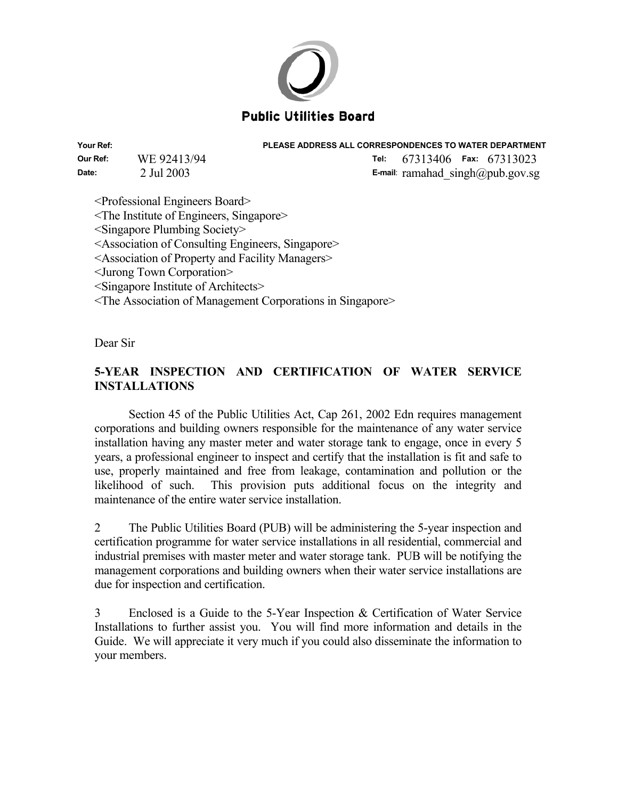

**Your Ref: PLEASE ADDRESS ALL CORRESPONDENCES TO WATER DEPARTMENT** 

**Our Ref:** WE 92413/94 **Tel:** 67313406 **Fax:** 67313023 **Date:** 2 Jul 2003 **E-mail**: ramahad singh@pub.gov.sg

<Professional Engineers Board>

<The Institute of Engineers, Singapore>

<Singapore Plumbing Society>

<Association of Consulting Engineers, Singapore>

<Association of Property and Facility Managers>

<Jurong Town Corporation>

<Singapore Institute of Architects>

<The Association of Management Corporations in Singapore>

Dear Sir

# **5-YEAR INSPECTION AND CERTIFICATION OF WATER SERVICE INSTALLATIONS**

Section 45 of the Public Utilities Act, Cap 261, 2002 Edn requires management corporations and building owners responsible for the maintenance of any water service installation having any master meter and water storage tank to engage, once in every 5 years, a professional engineer to inspect and certify that the installation is fit and safe to use, properly maintained and free from leakage, contamination and pollution or the likelihood of such. This provision puts additional focus on the integrity and maintenance of the entire water service installation.

2 The Public Utilities Board (PUB) will be administering the 5-year inspection and certification programme for water service installations in all residential, commercial and industrial premises with master meter and water storage tank. PUB will be notifying the management corporations and building owners when their water service installations are due for inspection and certification.

3 Enclosed is a Guide to the 5-Year Inspection & Certification of Water Service Installations to further assist you. You will find more information and details in the Guide. We will appreciate it very much if you could also disseminate the information to your members.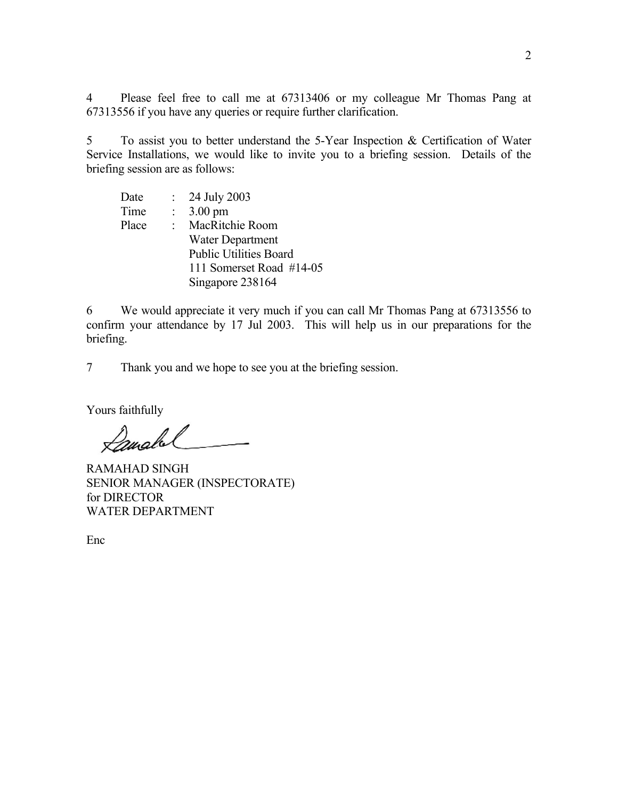4 Please feel free to call me at 67313406 or my colleague Mr Thomas Pang at 67313556 if you have any queries or require further clarification.

5 To assist you to better understand the 5-Year Inspection & Certification of Water Service Installations, we would like to invite you to a briefing session. Details of the briefing session are as follows:

Date : 24 July 2003 Time : 3.00 pm Place : MacRitchie Room Water Department Public Utilities Board 111 Somerset Road #14-05 Singapore 238164

6 We would appreciate it very much if you can call Mr Thomas Pang at 67313556 to confirm your attendance by 17 Jul 2003. This will help us in our preparations for the briefing.

7 Thank you and we hope to see you at the briefing session.

Yours faithfully

Lanabel

RAMAHAD SINGH SENIOR MANAGER (INSPECTORATE) for DIRECTOR WATER DEPARTMENT

Enc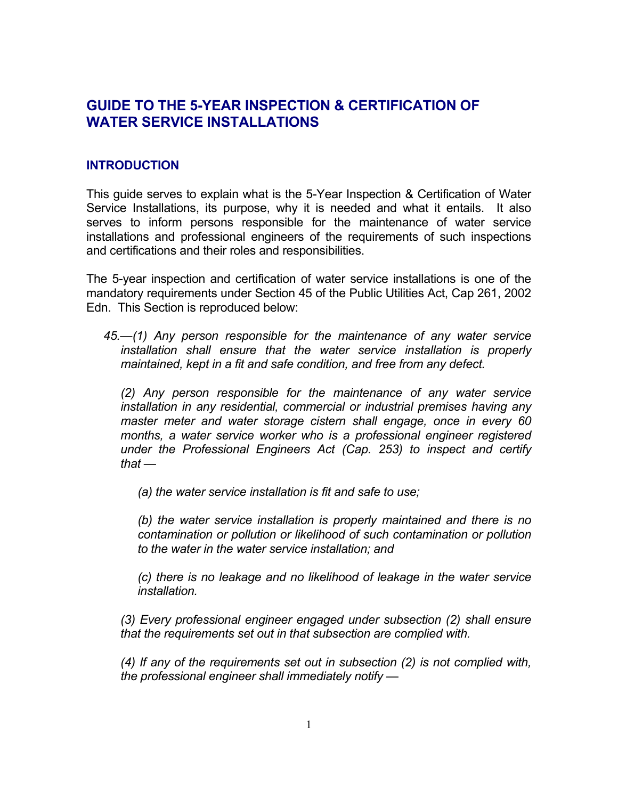# **GUIDE TO THE 5-YEAR INSPECTION & CERTIFICATION OF WATER SERVICE INSTALLATIONS**

# **INTRODUCTION**

This guide serves to explain what is the 5-Year Inspection & Certification of Water Service Installations, its purpose, why it is needed and what it entails. It also serves to inform persons responsible for the maintenance of water service installations and professional engineers of the requirements of such inspections and certifications and their roles and responsibilities.

The 5-year inspection and certification of water service installations is one of the mandatory requirements under Section 45 of the Public Utilities Act, Cap 261, 2002 Edn. This Section is reproduced below:

*45.—(1) Any person responsible for the maintenance of any water service installation shall ensure that the water service installation is properly maintained, kept in a fit and safe condition, and free from any defect.* 

*(2) Any person responsible for the maintenance of any water service installation in any residential, commercial or industrial premises having any master meter and water storage cistern shall engage, once in every 60 months, a water service worker who is a professional engineer registered under the Professional Engineers Act (Cap. 253) to inspect and certify that —* 

*(a) the water service installation is fit and safe to use;* 

*(b) the water service installation is properly maintained and there is no contamination or pollution or likelihood of such contamination or pollution to the water in the water service installation; and* 

*(c) there is no leakage and no likelihood of leakage in the water service installation.* 

*(3) Every professional engineer engaged under subsection (2) shall ensure that the requirements set out in that subsection are complied with.* 

*(4) If any of the requirements set out in subsection (2) is not complied with, the professional engineer shall immediately notify —*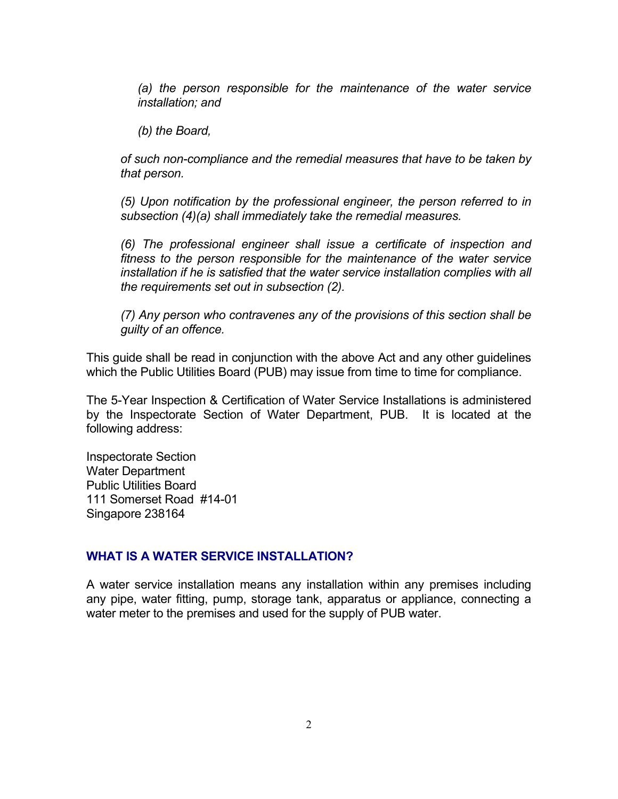*(a) the person responsible for the maintenance of the water service installation; and* 

*(b) the Board,* 

*of such non-compliance and the remedial measures that have to be taken by that person.* 

*(5) Upon notification by the professional engineer, the person referred to in subsection (4)(a) shall immediately take the remedial measures.* 

*(6) The professional engineer shall issue a certificate of inspection and fitness to the person responsible for the maintenance of the water service installation if he is satisfied that the water service installation complies with all the requirements set out in subsection (2).* 

*(7) Any person who contravenes any of the provisions of this section shall be guilty of an offence.* 

This guide shall be read in conjunction with the above Act and any other guidelines which the Public Utilities Board (PUB) may issue from time to time for compliance.

The 5-Year Inspection & Certification of Water Service Installations is administered by the Inspectorate Section of Water Department, PUB. It is located at the following address:

Inspectorate Section Water Department Public Utilities Board 111 Somerset Road #14-01 Singapore 238164

# **WHAT IS A WATER SERVICE INSTALLATION?**

A water service installation means any installation within any premises including any pipe, water fitting, pump, storage tank, apparatus or appliance, connecting a water meter to the premises and used for the supply of PUB water.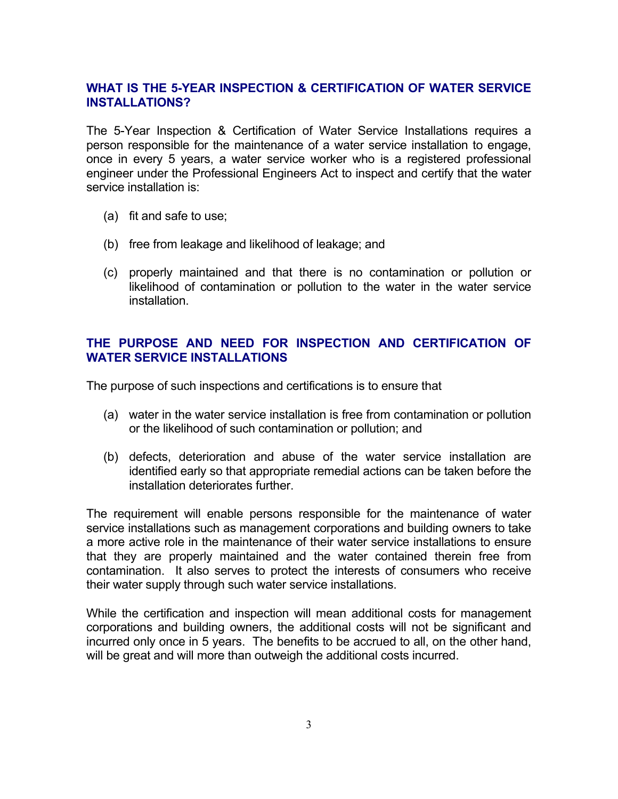# **WHAT IS THE 5-YEAR INSPECTION & CERTIFICATION OF WATER SERVICE INSTALLATIONS?**

The 5-Year Inspection & Certification of Water Service Installations requires a person responsible for the maintenance of a water service installation to engage, once in every 5 years, a water service worker who is a registered professional engineer under the Professional Engineers Act to inspect and certify that the water service installation is:

- (a) fit and safe to use;
- (b) free from leakage and likelihood of leakage; and
- (c) properly maintained and that there is no contamination or pollution or likelihood of contamination or pollution to the water in the water service installation.

# **THE PURPOSE AND NEED FOR INSPECTION AND CERTIFICATION OF WATER SERVICE INSTALLATIONS**

The purpose of such inspections and certifications is to ensure that

- (a) water in the water service installation is free from contamination or pollution or the likelihood of such contamination or pollution; and
- (b) defects, deterioration and abuse of the water service installation are identified early so that appropriate remedial actions can be taken before the installation deteriorates further.

The requirement will enable persons responsible for the maintenance of water service installations such as management corporations and building owners to take a more active role in the maintenance of their water service installations to ensure that they are properly maintained and the water contained therein free from contamination. It also serves to protect the interests of consumers who receive their water supply through such water service installations.

While the certification and inspection will mean additional costs for management corporations and building owners, the additional costs will not be significant and incurred only once in 5 years. The benefits to be accrued to all, on the other hand, will be great and will more than outweigh the additional costs incurred.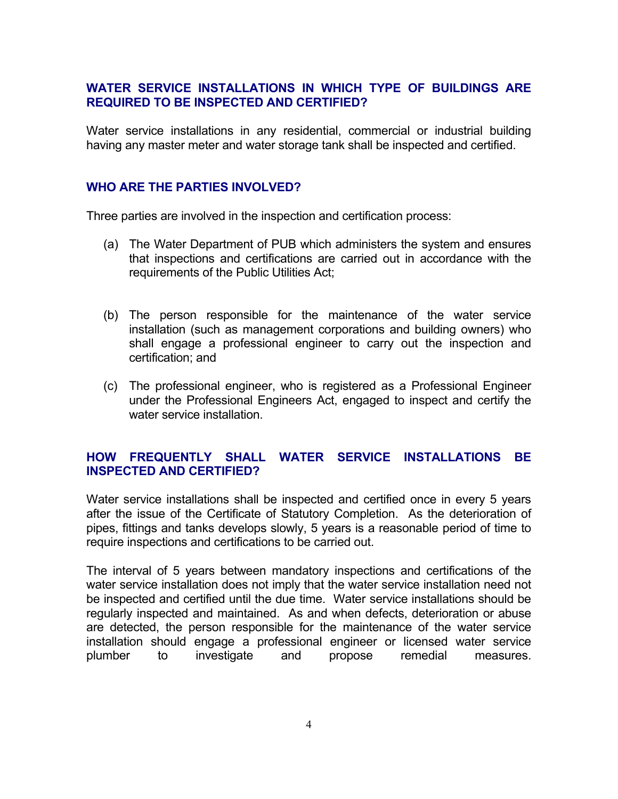# **WATER SERVICE INSTALLATIONS IN WHICH TYPE OF BUILDINGS ARE REQUIRED TO BE INSPECTED AND CERTIFIED?**

Water service installations in any residential, commercial or industrial building having any master meter and water storage tank shall be inspected and certified.

# **WHO ARE THE PARTIES INVOLVED?**

Three parties are involved in the inspection and certification process:

- (a) The Water Department of PUB which administers the system and ensures that inspections and certifications are carried out in accordance with the requirements of the Public Utilities Act;
- (b) The person responsible for the maintenance of the water service installation (such as management corporations and building owners) who shall engage a professional engineer to carry out the inspection and certification; and
- (c) The professional engineer, who is registered as a Professional Engineer under the Professional Engineers Act, engaged to inspect and certify the water service installation.

# **HOW FREQUENTLY SHALL WATER SERVICE INSTALLATIONS BE INSPECTED AND CERTIFIED?**

Water service installations shall be inspected and certified once in every 5 years after the issue of the Certificate of Statutory Completion. As the deterioration of pipes, fittings and tanks develops slowly, 5 years is a reasonable period of time to require inspections and certifications to be carried out.

The interval of 5 years between mandatory inspections and certifications of the water service installation does not imply that the water service installation need not be inspected and certified until the due time. Water service installations should be regularly inspected and maintained. As and when defects, deterioration or abuse are detected, the person responsible for the maintenance of the water service installation should engage a professional engineer or licensed water service plumber to investigate and propose remedial measures.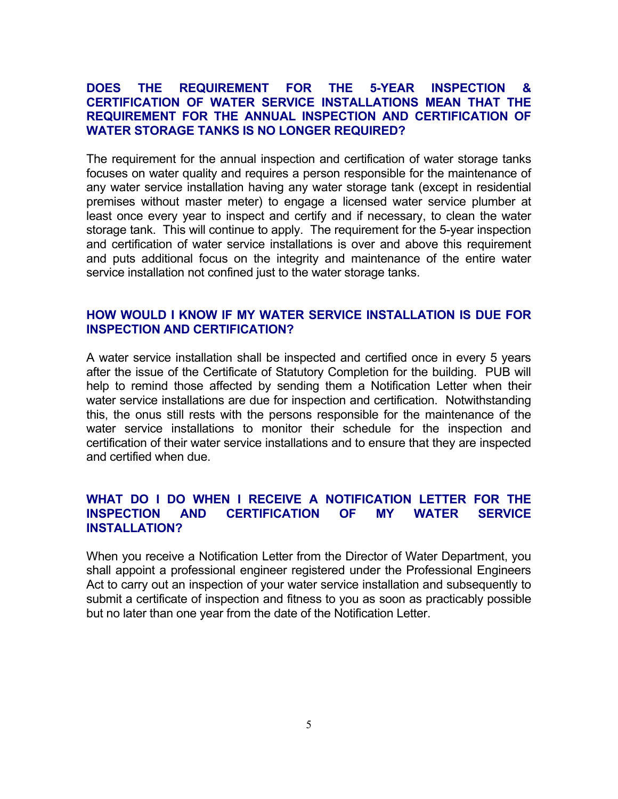#### **DOES THE REQUIREMENT FOR THE 5-YEAR INSPECTION & CERTIFICATION OF WATER SERVICE INSTALLATIONS MEAN THAT THE REQUIREMENT FOR THE ANNUAL INSPECTION AND CERTIFICATION OF WATER STORAGE TANKS IS NO LONGER REQUIRED?**

The requirement for the annual inspection and certification of water storage tanks focuses on water quality and requires a person responsible for the maintenance of any water service installation having any water storage tank (except in residential premises without master meter) to engage a licensed water service plumber at least once every year to inspect and certify and if necessary, to clean the water storage tank. This will continue to apply. The requirement for the 5-year inspection and certification of water service installations is over and above this requirement and puts additional focus on the integrity and maintenance of the entire water service installation not confined just to the water storage tanks.

#### **HOW WOULD I KNOW IF MY WATER SERVICE INSTALLATION IS DUE FOR INSPECTION AND CERTIFICATION?**

A water service installation shall be inspected and certified once in every 5 years after the issue of the Certificate of Statutory Completion for the building. PUB will help to remind those affected by sending them a Notification Letter when their water service installations are due for inspection and certification. Notwithstanding this, the onus still rests with the persons responsible for the maintenance of the water service installations to monitor their schedule for the inspection and certification of their water service installations and to ensure that they are inspected and certified when due.

# **WHAT DO I DO WHEN I RECEIVE A NOTIFICATION LETTER FOR THE INSPECTION AND CERTIFICATION OF MY WATER SERVICE INSTALLATION?**

When you receive a Notification Letter from the Director of Water Department, you shall appoint a professional engineer registered under the Professional Engineers Act to carry out an inspection of your water service installation and subsequently to submit a certificate of inspection and fitness to you as soon as practicably possible but no later than one year from the date of the Notification Letter.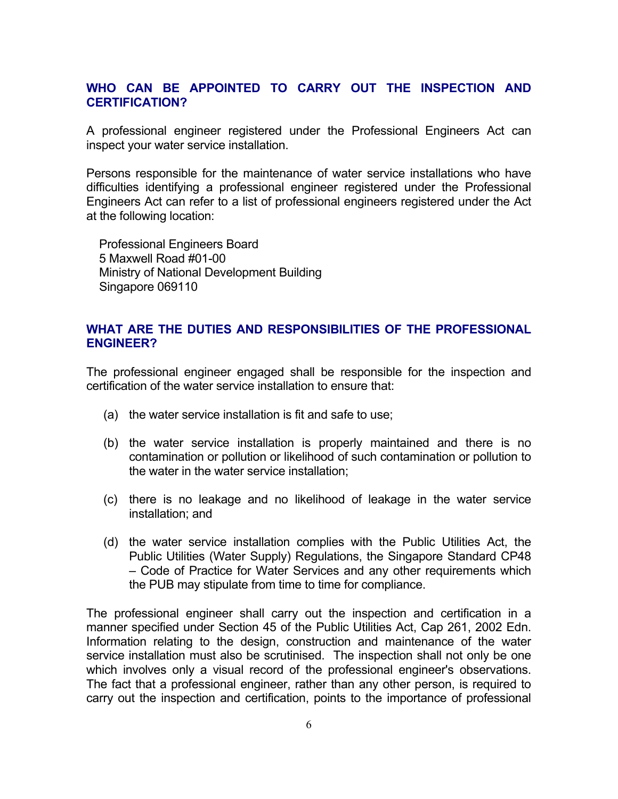#### **WHO CAN BE APPOINTED TO CARRY OUT THE INSPECTION AND CERTIFICATION?**

A professional engineer registered under the Professional Engineers Act can inspect your water service installation.

Persons responsible for the maintenance of water service installations who have difficulties identifying a professional engineer registered under the Professional Engineers Act can refer to a list of professional engineers registered under the Act at the following location:

Professional Engineers Board 5 Maxwell Road #01-00 Ministry of National Development Building Singapore 069110

# **WHAT ARE THE DUTIES AND RESPONSIBILITIES OF THE PROFESSIONAL ENGINEER?**

The professional engineer engaged shall be responsible for the inspection and certification of the water service installation to ensure that:

- (a) the water service installation is fit and safe to use;
- (b) the water service installation is properly maintained and there is no contamination or pollution or likelihood of such contamination or pollution to the water in the water service installation;
- (c) there is no leakage and no likelihood of leakage in the water service installation; and
- (d) the water service installation complies with the Public Utilities Act, the Public Utilities (Water Supply) Regulations, the Singapore Standard CP48 – Code of Practice for Water Services and any other requirements which the PUB may stipulate from time to time for compliance.

The professional engineer shall carry out the inspection and certification in a manner specified under Section 45 of the Public Utilities Act, Cap 261, 2002 Edn. Information relating to the design, construction and maintenance of the water service installation must also be scrutinised. The inspection shall not only be one which involves only a visual record of the professional engineer's observations. The fact that a professional engineer, rather than any other person, is required to carry out the inspection and certification, points to the importance of professional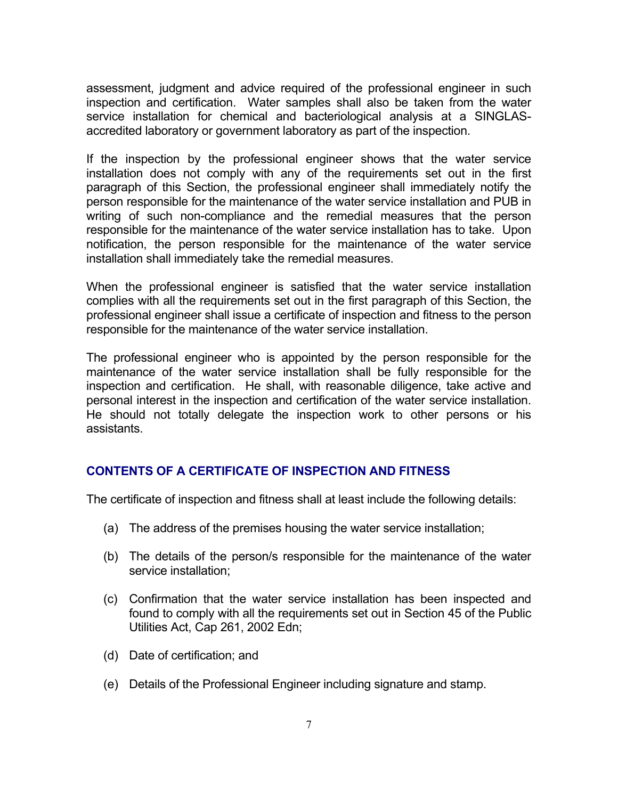assessment, judgment and advice required of the professional engineer in such inspection and certification. Water samples shall also be taken from the water service installation for chemical and bacteriological analysis at a SINGLASaccredited laboratory or government laboratory as part of the inspection.

If the inspection by the professional engineer shows that the water service installation does not comply with any of the requirements set out in the first paragraph of this Section, the professional engineer shall immediately notify the person responsible for the maintenance of the water service installation and PUB in writing of such non-compliance and the remedial measures that the person responsible for the maintenance of the water service installation has to take. Upon notification, the person responsible for the maintenance of the water service installation shall immediately take the remedial measures.

When the professional engineer is satisfied that the water service installation complies with all the requirements set out in the first paragraph of this Section, the professional engineer shall issue a certificate of inspection and fitness to the person responsible for the maintenance of the water service installation.

The professional engineer who is appointed by the person responsible for the maintenance of the water service installation shall be fully responsible for the inspection and certification. He shall, with reasonable diligence, take active and personal interest in the inspection and certification of the water service installation. He should not totally delegate the inspection work to other persons or his assistants.

# **CONTENTS OF A CERTIFICATE OF INSPECTION AND FITNESS**

The certificate of inspection and fitness shall at least include the following details:

- (a) The address of the premises housing the water service installation;
- (b) The details of the person/s responsible for the maintenance of the water service installation;
- (c) Confirmation that the water service installation has been inspected and found to comply with all the requirements set out in Section 45 of the Public Utilities Act, Cap 261, 2002 Edn;
- (d) Date of certification; and
- (e) Details of the Professional Engineer including signature and stamp.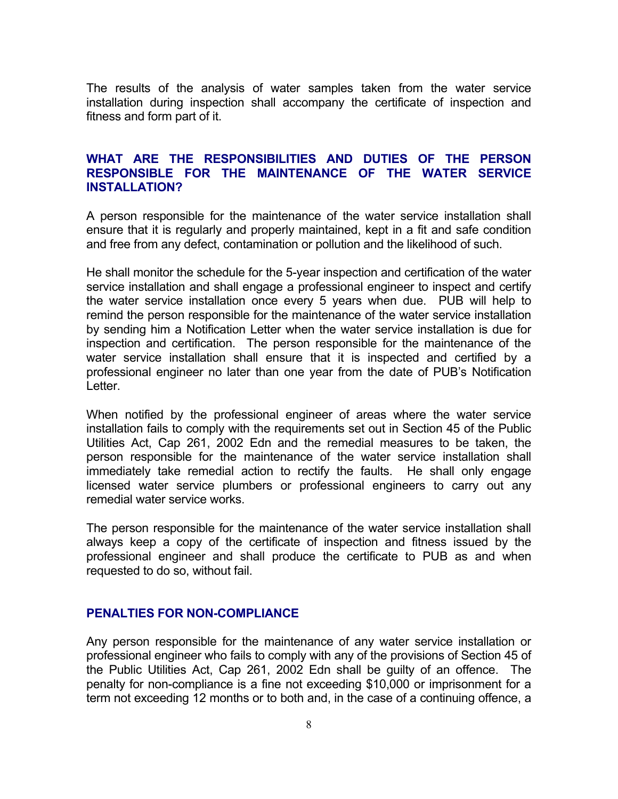The results of the analysis of water samples taken from the water service installation during inspection shall accompany the certificate of inspection and fitness and form part of it.

#### **WHAT ARE THE RESPONSIBILITIES AND DUTIES OF THE PERSON RESPONSIBLE FOR THE MAINTENANCE OF THE WATER SERVICE INSTALLATION?**

A person responsible for the maintenance of the water service installation shall ensure that it is regularly and properly maintained, kept in a fit and safe condition and free from any defect, contamination or pollution and the likelihood of such.

He shall monitor the schedule for the 5-year inspection and certification of the water service installation and shall engage a professional engineer to inspect and certify the water service installation once every 5 years when due. PUB will help to remind the person responsible for the maintenance of the water service installation by sending him a Notification Letter when the water service installation is due for inspection and certification. The person responsible for the maintenance of the water service installation shall ensure that it is inspected and certified by a professional engineer no later than one year from the date of PUB's Notification Letter.

When notified by the professional engineer of areas where the water service installation fails to comply with the requirements set out in Section 45 of the Public Utilities Act, Cap 261, 2002 Edn and the remedial measures to be taken, the person responsible for the maintenance of the water service installation shall immediately take remedial action to rectify the faults. He shall only engage licensed water service plumbers or professional engineers to carry out any remedial water service works.

The person responsible for the maintenance of the water service installation shall always keep a copy of the certificate of inspection and fitness issued by the professional engineer and shall produce the certificate to PUB as and when requested to do so, without fail.

#### **PENALTIES FOR NON-COMPLIANCE**

Any person responsible for the maintenance of any water service installation or professional engineer who fails to comply with any of the provisions of Section 45 of the Public Utilities Act, Cap 261, 2002 Edn shall be guilty of an offence. The penalty for non-compliance is a fine not exceeding \$10,000 or imprisonment for a term not exceeding 12 months or to both and, in the case of a continuing offence, a